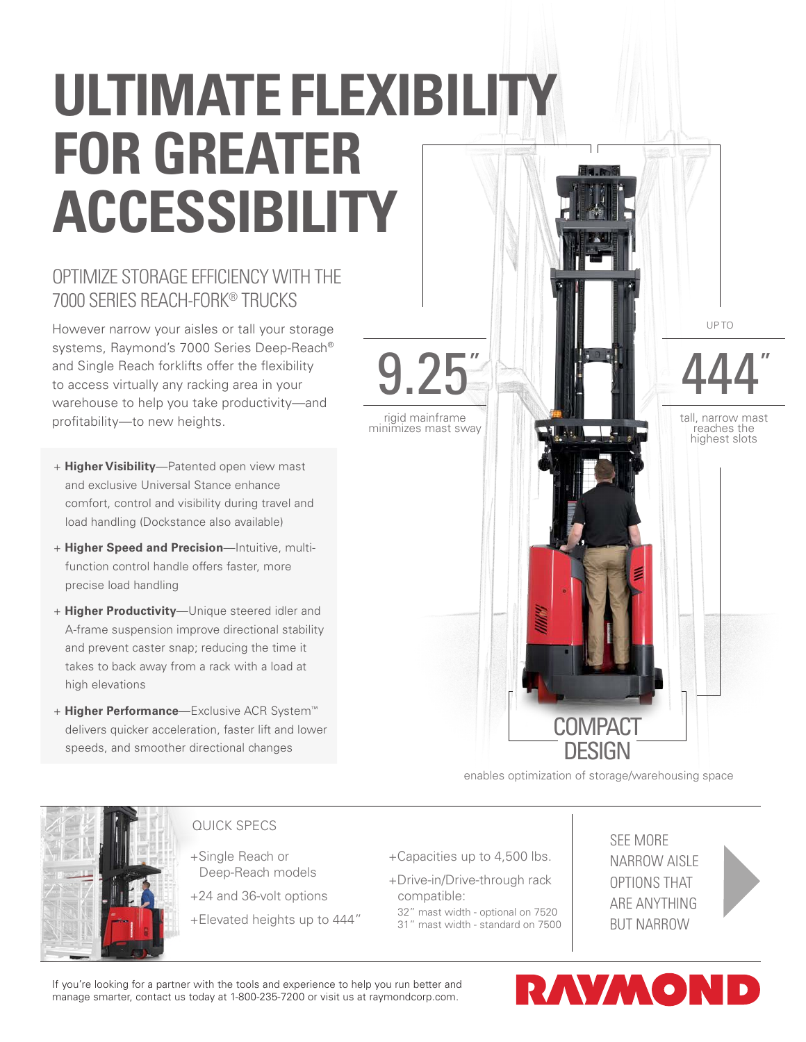# **ULTIMATE FLEXIBILITY FOR GREATER ACCESSIBILITY**

## OPTIMIZE STORAGE EFFICIENCY WITH THE 7000 SERIES REACH-FORK® TRUCKS

However narrow your aisles or tall your storage systems, Raymond's 7000 Series Deep-Reach® and Single Reach forklifts offer the flexibility to access virtually any racking area in your warehouse to help you take productivity—and profitability—to new heights.

- + **Higher Visibility**—Patented open view mast and exclusive Universal Stance enhance comfort, control and visibility during travel and load handling (Dockstance also available)
- + **Higher Speed and Precision**—Intuitive, multifunction control handle offers faster, more precise load handling
- + **Higher Productivity**—Unique steered idler and A-frame suspension improve directional stability and prevent caster snap; reducing the time it takes to back away from a rack with a load at high elevations
- + **Higher Performance**—Exclusive ACR System™ delivers quicker acceleration, faster lift and lower speeds, and smoother directional changes



enables optimization of storage/warehousing space



#### QUICK SPECS

+Single Reach or Deep-Reach models

+24 and 36-volt options

+Elevated heights up to 444"

- +Capacities up to 4,500 lbs.
- +Drive-in/Drive-through rack compatible:
- 32" mast width optional on 7520
- 31" mast width standard on 7500

SEE MORE NARROW AISLE OPTIONS THAT ARE ANYTHING BUT NARROW



If you're looking for a partner with the tools and experience to help you run better and manage smarter, contact us today at 1-800-235-7200 or visit us at raymondcorp.com.